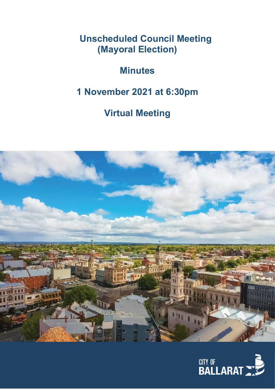**Unscheduled Council Meeting (Mayoral Election)**

# **Minutes**

# **1 November 2021 at 6:30pm**

**Virtual Meeting**



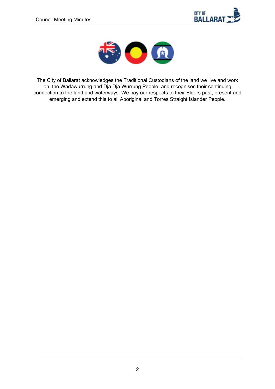



The City of Ballarat acknowledges the Traditional Custodians of the land we live and work on, the Wadawurrung and Dja Dja Wurrung People, and recognises their continuing connection to the land and waterways. We pay our respects to their Elders past, present and emerging and extend this to all Aboriginal and Torres Straight Islander People.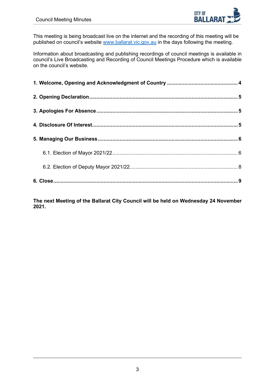

This meeting is being broadcast live on the internet and the recording of this meeting will be published on council's website www.ballarat.vic.gov.au in the days following the meeting.

Information about broadcasting and publishing recordings of council meetings is available in council's Live Broadcasting and Recording of Council Meetings Procedure which is available on the council's website.

**The next Meeting of the Ballarat City Council will be held on Wednesday 24 November 2021.**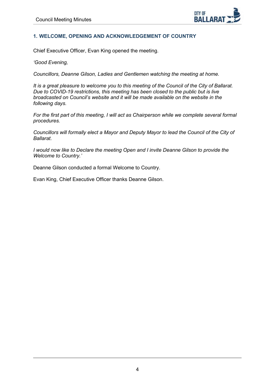

# <span id="page-3-0"></span>**1. WELCOME, OPENING AND ACKNOWLEDGEMENT OF COUNTRY**

Chief Executive Officer, Evan King opened the meeting.

*'Good Evening,* 

*Councillors, Deanne Gilson, Ladies and Gentlemen watching the meeting at home.*

*It is a great pleasure to welcome you to this meeting of the Council of the City of Ballarat. Due to COVID-19 restrictions, this meeting has been closed to the public but is live broadcasted on Council's website and it will be made available on the website in the following days.*

*For the first part of this meeting, I will act as Chairperson while we complete several formal procedures.*

*Councillors will formally elect a Mayor and Deputy Mayor to lead the Council of the City of Ballarat.*

*I would now like to Declare the meeting Open and I invite Deanne Gilson to provide the Welcome to Country.'*

Deanne Gilson conducted a formal Welcome to Country.

Evan King, Chief Executive Officer thanks Deanne Gilson.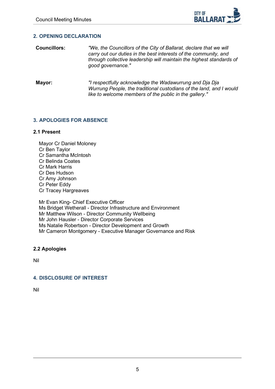

# <span id="page-4-0"></span>**2. OPENING DECLARATION**

- **Councillors:** *"We, the Councillors of the City of Ballarat, declare that we will carry out our duties in the best interests of the community, and through collective leadership will maintain the highest standards of good governance."*
- **Mayor:** *"I respectfully acknowledge the Wadawurrung and Dja Dja Wurrung People, the traditional custodians of the land, and I would like to welcome members of the public in the gallery."*

# **3. APOLOGIES FOR ABSENCE**

# **2.1 Present**

Mayor Cr Daniel Moloney Cr Ben Taylor Cr Samantha McIntosh Cr Belinda Coates Cr Mark Harris Cr Des Hudson Cr Amy Johnson Cr Peter Eddy Cr Tracey Hargreaves Mr Evan King- Chief Executive Officer

Ms Bridget Wetherall - Director Infrastructure and Environment Mr Matthew Wilson - Director Community Wellbeing Mr John Hausler - Director Corporate Services Ms Natalie Robertson - Director Development and Growth Mr Cameron Montgomery - Executive Manager Governance and Risk

# **2.2 Apologies**

Nil

# **4. DISCLOSURE OF INTEREST**

Nil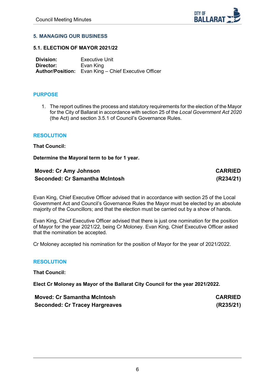

# <span id="page-5-0"></span>**5. MANAGING OUR BUSINESS**

## **5.1. ELECTION OF MAYOR 2021/22**

**Division:** Executive Unit<br> **Director:** Evan King **Director:** Evan King **Author/Position:** Evan King – Chief Executive Officer

# **PURPOSE**

1. The report outlines the process and statutory requirements for the election of the Mayor for the City of Ballarat in accordance with section 25 of the *Local Government Act 2020* (the Act) and section 3.5.1 of Council's Governance Rules.

## **RESOLUTION**

## **That Council:**

**Determine the Mayoral term to be for 1 year.** 

# **Moved: Cr Amy Johnson CARRIED Seconded: Cr Samantha McIntosh (R234/21)**

Evan King, Chief Executive Officer advised that in accordance with section 25 of the Local Government Act and Council's Governance Rules the Mayor must be elected by an absolute majority of the Councillors; and that the election must be carried out by a show of hands.

Evan King, Chief Executive Officer advised that there is just one nomination for the position of Mayor for the year 2021/22, being Cr Moloney. Evan King, Chief Executive Officer asked that the nomination be accepted.

Cr Moloney accepted his nomination for the position of Mayor for the year of 2021/2022.

# **RESOLUTION**

**That Council:** 

**Elect Cr Moloney as Mayor of the Ballarat City Council for the year 2021/2022.**

| <b>Moved: Cr Samantha McIntosh</b>    | <b>CARRIED</b> |
|---------------------------------------|----------------|
| <b>Seconded: Cr Tracey Hargreaves</b> | (R235/21)      |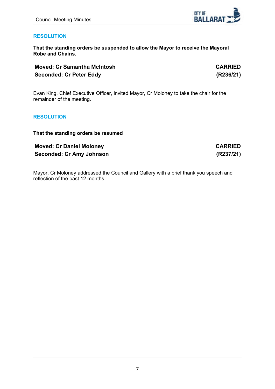

# **RESOLUTION**

**That the standing orders be suspended to allow the Mayor to receive the Mayoral Robe and Chains.** 

**Moved: Cr Samantha McIntosh CARRIED Seconded: Cr Peter Eddy (R236/21)**

Evan King, Chief Executive Officer, invited Mayor, Cr Moloney to take the chair for the remainder of the meeting.

# **RESOLUTION**

**That the standing orders be resumed** 

**Moved: Cr Daniel Moloney <b>CARRIED Seconded: Cr Amy Johnson (R237/21)**

Mayor, Cr Moloney addressed the Council and Gallery with a brief thank you speech and reflection of the past 12 months.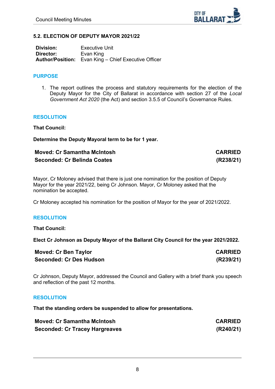

## <span id="page-7-0"></span>**5.2. ELECTION OF DEPUTY MAYOR 2021/22**

| <b>Division:</b> | Executive Unit                                              |
|------------------|-------------------------------------------------------------|
| Director:        | Evan King                                                   |
|                  | <b>Author/Position:</b> Evan King – Chief Executive Officer |

# **PURPOSE**

1. The report outlines the process and statutory requirements for the election of the Deputy Mayor for the City of Ballarat in accordance with section 27 of the *Local Government Act 2020* (the Act) and section 3.5.5 of Council's Governance Rules.

## **RESOLUTION**

**That Council:** 

**Determine the Deputy Mayoral term to be for 1 year.** 

| <b>Moved: Cr Samantha McIntosh</b> | <b>CARRIED</b> |
|------------------------------------|----------------|
| Seconded: Cr Belinda Coates        | (R238/21)      |

Mayor, Cr Moloney advised that there is just one nomination for the position of Deputy Mayor for the year 2021/22, being Cr Johnson. Mayor, Cr Moloney asked that the nomination be accepted.

Cr Moloney accepted his nomination for the position of Mayor for the year of 2021/2022.

# **RESOLUTION**

**That Council:** 

**Elect Cr Johnson as Deputy Mayor of the Ballarat City Council for the year 2021/2022.**

| <b>Moved: Cr Ben Taylor</b>    | <b>CARRIED</b> |
|--------------------------------|----------------|
| <b>Seconded: Cr Des Hudson</b> | (R239/21)      |

Cr Johnson, Deputy Mayor, addressed the Council and Gallery with a brief thank you speech and reflection of the past 12 months.

# **RESOLUTION**

**That the standing orders be suspended to allow for presentations.**

| <b>Moved: Cr Samantha McIntosh</b>    | <b>CARRIED</b> |
|---------------------------------------|----------------|
| <b>Seconded: Cr Tracey Hargreaves</b> | (R240/21)      |